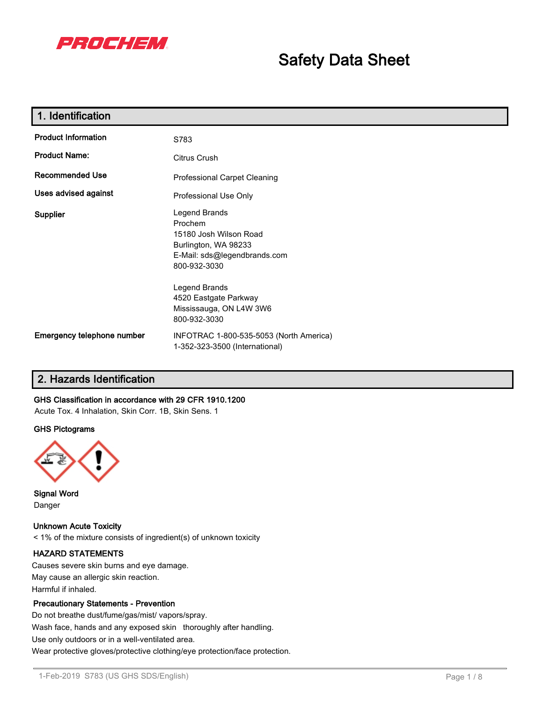

# **Safety Data Sheet**

| 1. Identification                                      |                                                                                                                            |  |  |
|--------------------------------------------------------|----------------------------------------------------------------------------------------------------------------------------|--|--|
| <b>Product Information</b>                             | S783                                                                                                                       |  |  |
| <b>Product Name:</b>                                   | Citrus Crush                                                                                                               |  |  |
| <b>Recommended Use</b><br>Professional Carpet Cleaning |                                                                                                                            |  |  |
| Uses advised against                                   | Professional Use Only                                                                                                      |  |  |
| Supplier                                               | Legend Brands<br>Prochem<br>15180 Josh Wilson Road<br>Burlington, WA 98233<br>E-Mail: sds@legendbrands.com<br>800-932-3030 |  |  |
|                                                        | Legend Brands<br>4520 Eastgate Parkway<br>Mississauga, ON L4W 3W6<br>800-932-3030                                          |  |  |
| Emergency telephone number                             | INFOTRAC 1-800-535-5053 (North America)<br>1-352-323-3500 (International)                                                  |  |  |

## **2. Hazards Identification**

## **GHS Classification in accordance with 29 CFR 1910.1200**

Acute Tox. 4 Inhalation, Skin Corr. 1B, Skin Sens. 1

#### **GHS Pictograms**



**Signal Word** Danger

**Unknown Acute Toxicity**

< 1% of the mixture consists of ingredient(s) of unknown toxicity

## **HAZARD STATEMENTS**

Causes severe skin burns and eye damage. May cause an allergic skin reaction. Harmful if inhaled.

#### **Precautionary Statements - Prevention**

Do not breathe dust/fume/gas/mist/ vapors/spray. Wash face, hands and any exposed skin thoroughly after handling.

Use only outdoors or in a well-ventilated area.

Wear protective gloves/protective clothing/eye protection/face protection.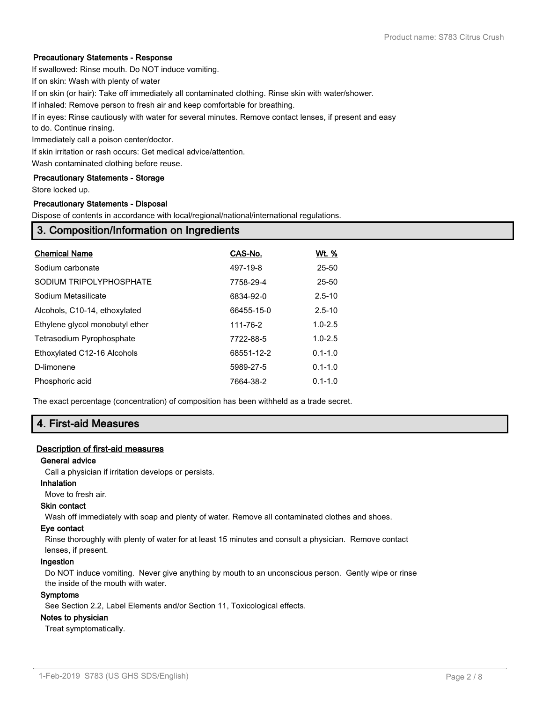#### **Precautionary Statements - Response**

If swallowed: Rinse mouth. Do NOT induce vomiting.

If on skin: Wash with plenty of water

If on skin (or hair): Take off immediately all contaminated clothing. Rinse skin with water/shower.

If inhaled: Remove person to fresh air and keep comfortable for breathing.

If in eyes: Rinse cautiously with water for several minutes. Remove contact lenses, if present and easy to do. Continue rinsing.

Immediately call a poison center/doctor.

If skin irritation or rash occurs: Get medical advice/attention.

Wash contaminated clothing before reuse.

#### **Precautionary Statements - Storage**

Store locked up.

#### **Precautionary Statements - Disposal**

Dispose of contents in accordance with local/regional/national/international regulations.

### **3. Composition/Information on Ingredients**

| <b>Chemical Name</b>            | CAS-No.    | <u>Wt. %</u> |
|---------------------------------|------------|--------------|
| Sodium carbonate                | 497-19-8   | 25-50        |
| SODIUM TRIPOLYPHOSPHATE         | 7758-29-4  | 25-50        |
| Sodium Metasilicate             | 6834-92-0  | $2.5 - 10$   |
| Alcohols, C10-14, ethoxylated   | 66455-15-0 | $2.5 - 10$   |
| Ethylene glycol monobutyl ether | 111-76-2   | $1.0 - 2.5$  |
| Tetrasodium Pyrophosphate       | 7722-88-5  | $1.0 - 2.5$  |
| Ethoxylated C12-16 Alcohols     | 68551-12-2 | $0.1 - 1.0$  |
| D-limonene                      | 5989-27-5  | $0.1 - 1.0$  |
| Phosphoric acid                 | 7664-38-2  | $0.1 - 1.0$  |

The exact percentage (concentration) of composition has been withheld as a trade secret.

## **4. First-aid Measures**

#### **Description of first-aid measures**

#### **General advice**

Call a physician if irritation develops or persists.

#### **Inhalation**

Move to fresh air.

#### **Skin contact**

Wash off immediately with soap and plenty of water. Remove all contaminated clothes and shoes.

#### **Eye contact**

Rinse thoroughly with plenty of water for at least 15 minutes and consult a physician. Remove contact lenses, if present.

#### **Ingestion**

Do NOT induce vomiting. Never give anything by mouth to an unconscious person. Gently wipe or rinse the inside of the mouth with water.

#### **Symptoms**

See Section 2.2, Label Elements and/or Section 11, Toxicological effects.

#### **Notes to physician**

Treat symptomatically.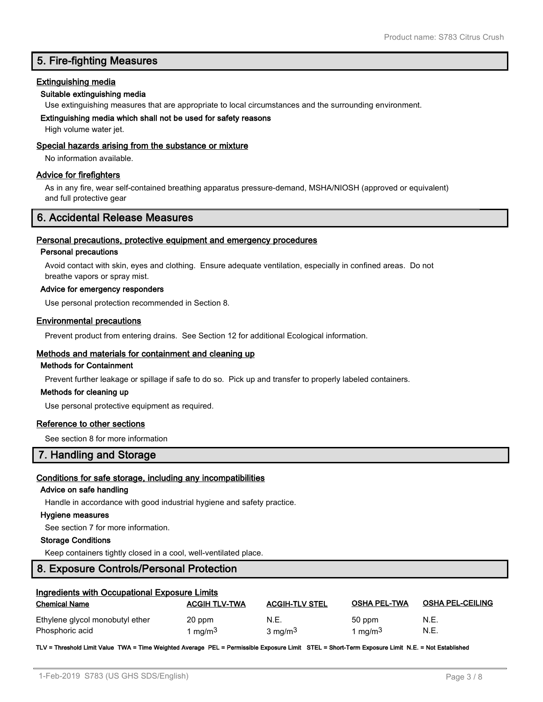## **5. Fire-fighting Measures**

#### **Extinguishing media**

#### **Suitable extinguishing media**

Use extinguishing measures that are appropriate to local circumstances and the surrounding environment.

#### **Extinguishing media which shall not be used for safety reasons**

High volume water jet.

#### **Special hazards arising from the substance or mixture**

No information available.

#### **Advice for firefighters**

As in any fire, wear self-contained breathing apparatus pressure-demand, MSHA/NIOSH (approved or equivalent) and full protective gear

#### **6. Accidental Release Measures**

#### **Personal precautions, protective equipment and emergency procedures**

#### **Personal precautions**

Avoid contact with skin, eyes and clothing. Ensure adequate ventilation, especially in confined areas. Do not breathe vapors or spray mist.

#### **Advice for emergency responders**

Use personal protection recommended in Section 8.

#### **Environmental precautions**

Prevent product from entering drains. See Section 12 for additional Ecological information.

#### **Methods and materials for containment and cleaning up**

#### **Methods for Containment**

Prevent further leakage or spillage if safe to do so. Pick up and transfer to properly labeled containers.

#### **Methods for cleaning up**

Use personal protective equipment as required.

#### **Reference to other sections**

See section 8 for more information

#### **7. Handling and Storage**

#### **Conditions for safe storage, including any incompatibilities**

#### **Advice on safe handling**

Handle in accordance with good industrial hygiene and safety practice.

#### **Hygiene measures**

See section 7 for more information.

#### **Storage Conditions**

Keep containers tightly closed in a cool, well-ventilated place.

### **8. Exposure Controls/Personal Protection**

| <b>Ingredients with Occupational Exposure Limits</b> |                               |                            |                               |                         |  |  |
|------------------------------------------------------|-------------------------------|----------------------------|-------------------------------|-------------------------|--|--|
| <b>Chemical Name</b>                                 | <b>ACGIH TLV-TWA</b>          | <b>ACGIH-TLV STEL</b>      | <b>OSHA PEL-TWA</b>           | <b>OSHA PEL-CEILING</b> |  |  |
| Ethylene glycol monobutyl ether<br>Phosphoric acid   | 20 ppm<br>l ma/m <sup>3</sup> | N.E.<br>$3 \text{ mg/m}^3$ | 50 ppm<br>1 ma/m <sup>3</sup> | N.E.<br>N.E.            |  |  |

**TLV = Threshold Limit Value TWA = Time Weighted Average PEL = Permissible Exposure Limit STEL = Short-Term Exposure Limit N.E. = Not Established**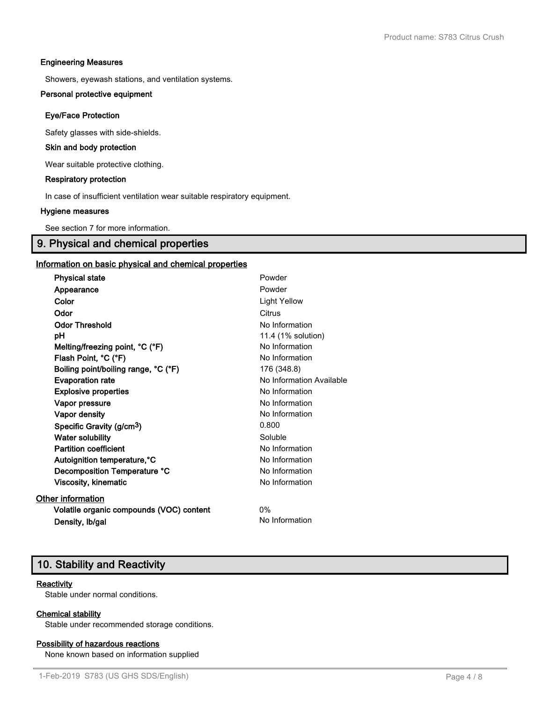#### **Engineering Measures**

Showers, eyewash stations, and ventilation systems.

#### **Personal protective equipment**

#### **Eye/Face Protection**

Safety glasses with side-shields.

#### **Skin and body protection**

Wear suitable protective clothing.

#### **Respiratory protection**

In case of insufficient ventilation wear suitable respiratory equipment.

#### **Hygiene measures**

See section 7 for more information.

## **9. Physical and chemical properties**

#### **Information on basic physical and chemical properties**

| <b>Physical state</b>                 | Powder                   |
|---------------------------------------|--------------------------|
| Appearance                            | Powder                   |
| Color                                 | Light Yellow             |
| Odor                                  | Citrus                   |
| <b>Odor Threshold</b>                 | No Information           |
| рH                                    | 11.4 (1% solution)       |
| Melting/freezing point, °C (°F)       | No Information           |
| Flash Point, °C (°F)                  | No Information           |
| Boiling point/boiling range, °C (°F)  | 176 (348.8)              |
| <b>Evaporation rate</b>               | No Information Available |
| <b>Explosive properties</b>           | No Information           |
| Vapor pressure                        | No Information           |
| Vapor density                         | No Information           |
| Specific Gravity (g/cm <sup>3</sup> ) | 0.800                    |
| <b>Water solubility</b>               | Soluble                  |
| <b>Partition coefficient</b>          | No Information           |
| Autoignition temperature, °C          | No Information           |
| Decomposition Temperature °C          | No Information           |
| Viscosity, kinematic                  | No Information           |
| <b>Other information</b>              |                          |

**Volatile organic compounds (VOC) content** 0% **Density, Ib/gal No Information** 

## **10. Stability and Reactivity**

#### **Reactivity**

Stable under normal conditions.

#### **Chemical stability**

Stable under recommended storage conditions.

#### **Possibility of hazardous reactions**

None known based on information supplied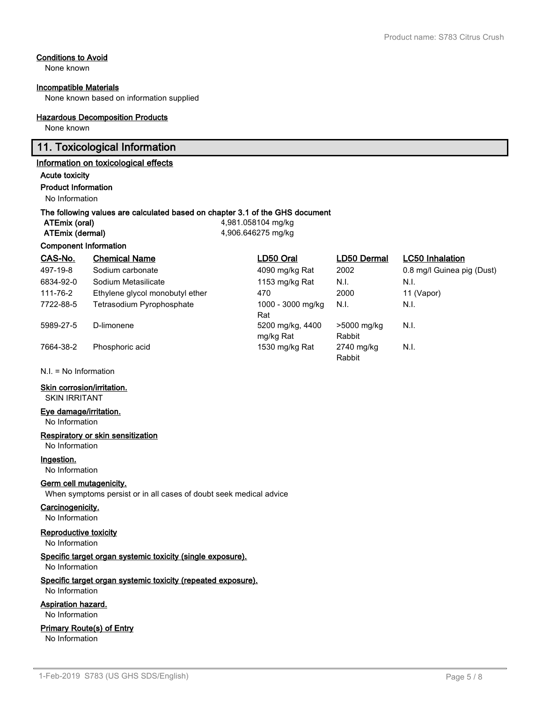#### **Conditions to Avoid**

None known

#### **Incompatible Materials**

None known based on information supplied

#### **Hazardous Decomposition Products**

None known

## **11. Toxicological Information**

#### **Information on toxicological effects**

#### **Acute toxicity**

**Product Information**

No Information

#### **The following values are calculated based on chapter 3.1 of the GHS document**

| ATEmix (oral)   | 4,981.058104 mg/kg |
|-----------------|--------------------|
| ATEmix (dermal) | 4,906.646275 mg/kg |
|                 |                    |

#### **Component Information**

| CAS-No.   | <b>Chemical Name</b>            | LD50 Oral         | LD50 Dermal | <b>LC50</b> Inhalation     |
|-----------|---------------------------------|-------------------|-------------|----------------------------|
| 497-19-8  | Sodium carbonate                | 4090 mg/kg Rat    | 2002        | 0.8 mg/l Guinea pig (Dust) |
| 6834-92-0 | Sodium Metasilicate             | 1153 mg/kg Rat    | N.I.        | N.I.                       |
| 111-76-2  | Ethylene glycol monobutyl ether | 470               | 2000        | 11 (Vapor)                 |
| 7722-88-5 | Tetrasodium Pyrophosphate       | 1000 - 3000 mg/kg | N.I.        | N.I.                       |
|           |                                 | Rat               |             |                            |
| 5989-27-5 | D-limonene                      | 5200 mg/kg, 4400  | >5000 mg/kg | N.I.                       |
|           |                                 | mg/kg Rat         | Rabbit      |                            |
| 7664-38-2 | Phosphoric acid                 | 1530 mg/kg Rat    | 2740 mg/kg  | N.I.                       |
|           |                                 |                   | Rabbit      |                            |

N.I. = No Information

#### **Skin corrosion/irritation.**

SKIN IRRITANT

#### **Eye damage/irritation.**

No Information

#### **Respiratory or skin sensitization**

No Information

#### **Ingestion.**

No Information

### **Germ cell mutagenicity.**

When symptoms persist or in all cases of doubt seek medical advice

## **Carcinogenicity.**

No Information

## **Reproductive toxicity**

No Information

## **Specific target organ systemic toxicity (single exposure).**

## No Information

**Specific target organ systemic toxicity (repeated exposure).**

## No Information

## **Aspiration hazard.**

No Information

## **Primary Route(s) of Entry**

No Information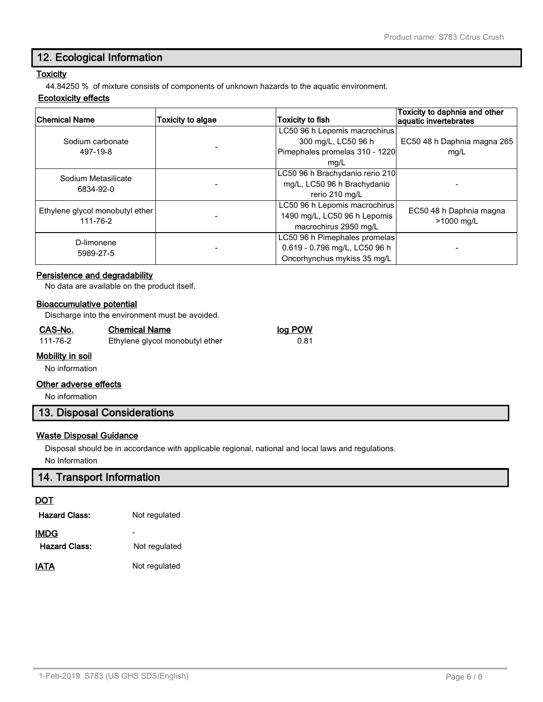## **12. Ecological Information**

## **Toxicity**

44.84250 % of mixture consists of components of unknown hazards to the aquatic environment.

#### **Ecotoxicity effects**

| Chemical Name                               | <b>Toxicity to fish</b><br>Toxicity to algae |                                 | Toxicity to daphnia and other<br>aquatic invertebrates |
|---------------------------------------------|----------------------------------------------|---------------------------------|--------------------------------------------------------|
|                                             |                                              | LC50 96 h Lepomis macrochirus   |                                                        |
| Sodium carbonate                            |                                              | 300 mg/L, LC50 96 h             | EC50 48 h Daphnia magna 265                            |
| 497-19-8                                    |                                              | Pimephales promelas 310 - 1220  | mg/L                                                   |
|                                             |                                              | mq/L                            |                                                        |
| Sodium Metasilicate<br>6834-92-0            |                                              | LC50 96 h Brachydanio rerio 210 |                                                        |
|                                             |                                              | mg/L, LC50 96 h Brachydanio     |                                                        |
|                                             |                                              | rerio 210 mg/L                  |                                                        |
|                                             |                                              | LC50 96 h Lepomis macrochirus   |                                                        |
| Ethylene glycol monobutyl ether<br>111-76-2 |                                              | 1490 mg/L, LC50 96 h Lepomis    | EC50 48 h Daphnia magna<br>>1000 ma/L                  |
|                                             |                                              | macrochirus 2950 mg/L           |                                                        |
| D-limonene<br>5989-27-5                     |                                              | LC50 96 h Pimephales promelas   |                                                        |
|                                             |                                              | 0.619 - 0.796 mg/L, LC50 96 h   |                                                        |
|                                             |                                              | Oncorhynchus mykiss 35 mg/L     |                                                        |

#### **Persistence and degradability**

No data are available on the product itself.

#### **Bioaccumulative potential**

Discharge into the environment must be avoided.

#### **CAS-No. Chemical Name log POW** 111-76-2 Ethylene glycol monobutyl ether 0.81

#### **Mobility in soil**

No information

#### **Other adverse effects**

No information

## **13. Disposal Considerations**

#### **Waste Disposal Guidance**

Disposal should be in accordance with applicable regional, national and local laws and regulations. No Information

## **14. Transport Information**

#### **DOT**

| <b>Hazard Class:</b> | Not regulated |
|----------------------|---------------|
| <b>IMDG</b>          |               |
| <b>Hazard Class:</b> | Not regulated |
| IATA                 | Not regulated |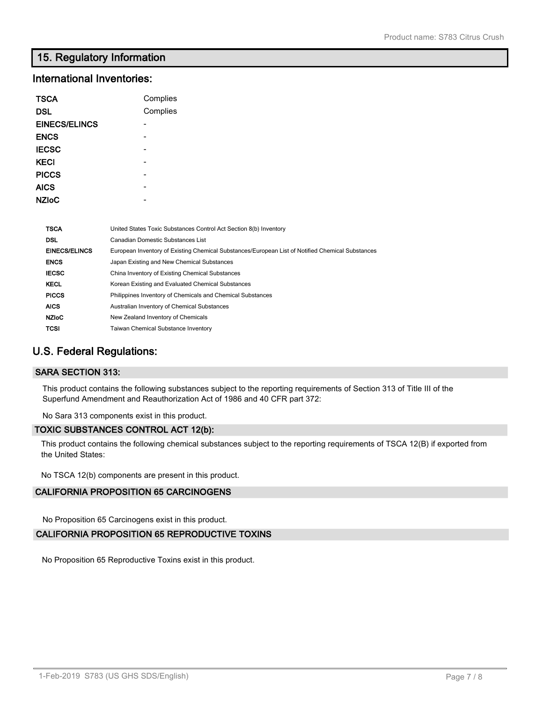## **15. Regulatory Information**

## **International Inventories:**

| TSCA                 | Complies                                                                                         |
|----------------------|--------------------------------------------------------------------------------------------------|
| <b>DSL</b>           | Complies                                                                                         |
| <b>EINECS/ELINCS</b> |                                                                                                  |
| <b>ENCS</b>          |                                                                                                  |
| <b>IECSC</b>         |                                                                                                  |
| <b>KECI</b>          |                                                                                                  |
| <b>PICCS</b>         |                                                                                                  |
| AICS                 |                                                                                                  |
| <b>NZIoC</b>         |                                                                                                  |
|                      |                                                                                                  |
| <b>TSCA</b>          | United States Toxic Substances Control Act Section 8(b) Inventory                                |
| <b>DSL</b>           | <b>Canadian Domestic Substances List</b>                                                         |
| <b>EINECS/ELINCS</b> | European Inventory of Existing Chemical Substances/European List of Notified Chemical Substances |
| <b>ENCS</b>          | Japan Existing and New Chemical Substances                                                       |
| <b>IECSC</b>         | China Inventory of Existing Chemical Substances                                                  |
| <b>KECL</b>          | Korean Existing and Evaluated Chemical Substances                                                |

| <b>PICCS</b> | Philippines Inventory of Chemicals and Chemical Substances |
|--------------|------------------------------------------------------------|
| <b>AICS</b>  | Australian Inventory of Chemical Substances                |
| <b>NZIoC</b> | New Zealand Inventory of Chemicals                         |
| TCSI         | <b>Taiwan Chemical Substance Inventory</b>                 |

## **U.S. Federal Regulations:**

### **SARA SECTION 313:**

This product contains the following substances subject to the reporting requirements of Section 313 of Title III of the Superfund Amendment and Reauthorization Act of 1986 and 40 CFR part 372:

No Sara 313 components exist in this product.

### **TOXIC SUBSTANCES CONTROL ACT 12(b):**

This product contains the following chemical substances subject to the reporting requirements of TSCA 12(B) if exported from the United States:

No TSCA 12(b) components are present in this product.

### **CALIFORNIA PROPOSITION 65 CARCINOGENS**

No Proposition 65 Carcinogens exist in this product.

## **CALIFORNIA PROPOSITION 65 REPRODUCTIVE TOXINS**

No Proposition 65 Reproductive Toxins exist in this product.